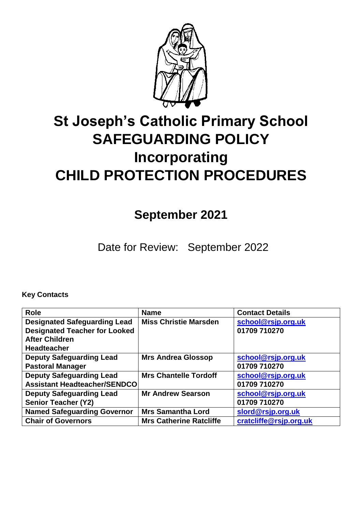

# **St Joseph's Catholic Primary School SAFEGUARDING POLICY Incorporating CHILD PROTECTION PROCEDURES**

## **September 2021**

Date for Review: September 2022

**Key Contacts** 

| <b>Role</b>                          | <b>Name</b>                    | <b>Contact Details</b> |
|--------------------------------------|--------------------------------|------------------------|
| <b>Designated Safeguarding Lead</b>  | <b>Miss Christie Marsden</b>   | school@rsjp.org.uk     |
| <b>Designated Teacher for Looked</b> |                                | 01709 710270           |
| <b>After Children</b>                |                                |                        |
| <b>Headteacher</b>                   |                                |                        |
| <b>Deputy Safeguarding Lead</b>      | <b>Mrs Andrea Glossop</b>      | school@rsjp.org.uk     |
| <b>Pastoral Manager</b>              |                                | 01709 710270           |
| <b>Deputy Safeguarding Lead</b>      | <b>Mrs Chantelle Tordoff</b>   | school@rsjp.org.uk     |
| <b>Assistant Headteacher/SENDCO</b>  |                                | 01709 710270           |
| <b>Deputy Safeguarding Lead</b>      | <b>Mr Andrew Searson</b>       | school@rsjp.org.uk     |
| <b>Senior Teacher (Y2)</b>           |                                | 01709 710270           |
| <b>Named Safeguarding Governor</b>   | <b>Mrs Samantha Lord</b>       | slord@rsjp.org.uk      |
| <b>Chair of Governors</b>            | <b>Mrs Catherine Ratcliffe</b> | cratcliffe@rsjp.org.uk |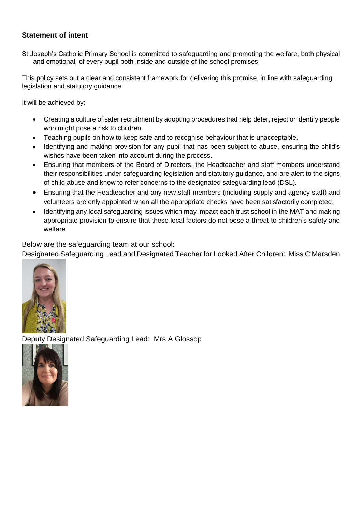#### **Statement of intent**

St Joseph's Catholic Primary School is committed to safeguarding and promoting the welfare, both physical and emotional, of every pupil both inside and outside of the school premises.

This policy sets out a clear and consistent framework for delivering this promise, in line with safeguarding legislation and statutory guidance.

It will be achieved by:

- Creating a culture of safer recruitment by adopting procedures that help deter, reject or identify people who might pose a risk to children.
- Teaching pupils on how to keep safe and to recognise behaviour that is unacceptable.
- Identifying and making provision for any pupil that has been subject to abuse, ensuring the child's wishes have been taken into account during the process.
- Ensuring that members of the Board of Directors, the Headteacher and staff members understand their responsibilities under safeguarding legislation and statutory guidance, and are alert to the signs of child abuse and know to refer concerns to the designated safeguarding lead (DSL).
- Ensuring that the Headteacher and any new staff members (including supply and agency staff) and volunteers are only appointed when all the appropriate checks have been satisfactorily completed.
- Identifying any local safeguarding issues which may impact each trust school in the MAT and making appropriate provision to ensure that these local factors do not pose a threat to children's safety and welfare

Below are the safeguarding team at our school:

Designated Safeguarding Lead and Designated Teacher for Looked After Children: Miss C Marsden



Deputy Designated Safeguarding Lead: Mrs A Glossop

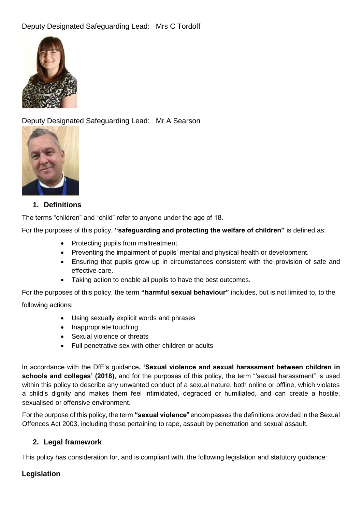### Deputy Designated Safeguarding Lead: Mrs C Tordoff



Deputy Designated Safeguarding Lead: Mr A Searson



#### **1. Definitions**

The terms "children" and "child" refer to anyone under the age of 18.

For the purposes of this policy, **"safeguarding and protecting the welfare of children"** is defined as:

- Protecting pupils from maltreatment.
- Preventing the impairment of pupils' mental and physical health or development.
- Ensuring that pupils grow up in circumstances consistent with the provision of safe and effective care.
- Taking action to enable all pupils to have the best outcomes.

For the purposes of this policy, the term **"harmful sexual behaviour"** includes, but is not limited to, to the following actions:

- Using sexually explicit words and phrases
- Inappropriate touching
- Sexual violence or threats
- Full penetrative sex with other children or adults

In accordance with the DfE's guidance**, 'Sexual violence and sexual harassment between children in schools and colleges' (2018)**, and for the purposes of this policy, the term "'sexual harassment" is used within this policy to describe any unwanted conduct of a sexual nature, both online or offline, which violates a child's dignity and makes them feel intimidated, degraded or humiliated, and can create a hostile, sexualised or offensive environment.

For the purpose of this policy, the term **"sexual violence**" encompasses the definitions provided in the Sexual Offences Act 2003, including those pertaining to rape, assault by penetration and sexual assault.

#### **2. Legal framework**

This policy has consideration for, and is compliant with, the following legislation and statutory guidance:

#### **Legislation**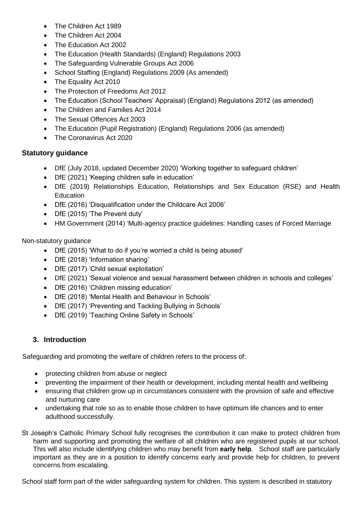- The Children Act 1989
- The Children Act 2004
- The Education Act 2002
- The Education (Health Standards) (England) Regulations 2003
- The Safeguarding Vulnerable Groups Act 2006
- School Staffing (England) Regulations 2009 (As amended)
- The Equality Act 2010
- The Protection of Freedoms Act 2012
- The Education (School Teachers' Appraisal) (England) Regulations 2012 (as amended)
- The Children and Families Act 2014
- The Sexual Offences Act 2003
- The Education (Pupil Registration) (England) Regulations 2006 (as amended)
- The Coronavirus Act 2020

#### **Statutory guidance**

- DfE (July 2018, updated December 2020) 'Working together to safeguard children'
- DfE (2021) 'Keeping children safe in education'
- DfE (2019) Relationships Education, Relationships and Sex Education (RSE) and Health Education
- DfE (2016) 'Disqualification under the Childcare Act 2006'
- DfE (2015) 'The Prevent duty'
- HM Government (2014) 'Multi-agency practice guidelines: Handling cases of Forced Marriage

#### Non-statutory guidance

- DfE (2015) 'What to do if you're worried a child is being abused'
- DfE (2018) 'Information sharing'
- DfE (2017) 'Child sexual exploitation'
- DfE (2021) 'Sexual violence and sexual harassment between children in schools and colleges'
- DfE (2016) 'Children missing education'
- DfE (2018) 'Mental Health and Behaviour in Schools'
- DfE (2017) 'Preventing and Tackling Bullying in Schools'
- DfE (2019) 'Teaching Online Safety in Schools'

#### **3. Introduction**

Safeguarding and promoting the welfare of children refers to the process of:

- protecting children from abuse or neglect
- preventing the impairment of their health or development, including mental health and wellbeing
- ensuring that children grow up in circumstances consistent with the provision of safe and effective and nurturing care
- undertaking that role so as to enable those children to have optimum life chances and to enter adulthood successfully.
- St Joseph's Catholic Primary School fully recognises the contribution it can make to protect children from harm and supporting and promoting the welfare of all children who are registered pupils at our school. This will also include identifying children who may benefit from **early help**. School staff are particularly important as they are in a position to identify concerns early and provide help for children, to prevent concerns from escalating.

School staff form part of the wider safeguarding system for children. This system is described in statutory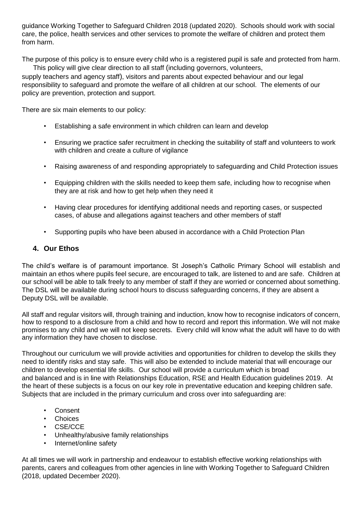guidance Working Together to Safeguard Children 2018 (updated 2020). Schools should work with social care, the police, health services and other services to promote the welfare of children and protect them from harm.

The purpose of this policy is to ensure every child who is a registered pupil is safe and protected from harm.

This policy will give clear direction to all staff (including governors, volunteers, supply teachers and agency staff), visitors and parents about expected behaviour and our legal responsibility to safeguard and promote the welfare of all children at our school. The elements of our policy are prevention, protection and support.

There are six main elements to our policy:

- Establishing a safe environment in which children can learn and develop
- Ensuring we practice safer recruitment in checking the suitability of staff and volunteers to work with children and create a culture of vigilance
- Raising awareness of and responding appropriately to safeguarding and Child Protection issues
- Equipping children with the skills needed to keep them safe, including how to recognise when they are at risk and how to get help when they need it
- Having clear procedures for identifying additional needs and reporting cases, or suspected cases, of abuse and allegations against teachers and other members of staff
- Supporting pupils who have been abused in accordance with a Child Protection Plan

#### **4. Our Ethos**

The child's welfare is of paramount importance. St Joseph's Catholic Primary School will establish and maintain an ethos where pupils feel secure, are encouraged to talk, are listened to and are safe. Children at our school will be able to talk freely to any member of staff if they are worried or concerned about something. The DSL will be available during school hours to discuss safeguarding concerns, if they are absent a Deputy DSL will be available.

All staff and regular visitors will, through training and induction, know how to recognise indicators of concern, how to respond to a disclosure from a child and how to record and report this information. We will not make promises to any child and we will not keep secrets. Every child will know what the adult will have to do with any information they have chosen to disclose.

Throughout our curriculum we will provide activities and opportunities for children to develop the skills they need to identify risks and stay safe. This will also be extended to include material that will encourage our children to develop essential life skills. Our school will provide a curriculum which is broad and balanced and is in line with Relationships Education, RSE and Health Education guidelines 2019. At the heart of these subjects is a focus on our key role in preventative education and keeping children safe. Subjects that are included in the primary curriculum and cross over into safeguarding are:

- Consent
- Choices
- CSE/CCE
- Unhealthy/abusive family relationships
- Internet/online safety

At all times we will work in partnership and endeavour to establish effective working relationships with parents, carers and colleagues from other agencies in line with Working Together to Safeguard Children (2018, updated December 2020).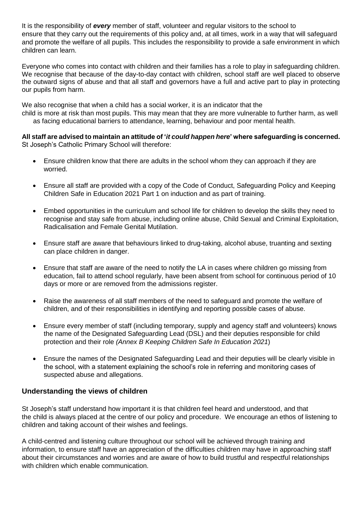It is the responsibility of *every* member of staff, volunteer and regular visitors to the school to ensure that they carry out the requirements of this policy and, at all times, work in a way that will safeguard and promote the welfare of all pupils. This includes the responsibility to provide a safe environment in which children can learn.

Everyone who comes into contact with children and their families has a role to play in safeguarding children. We recognise that because of the day-to-day contact with children, school staff are well placed to observe the outward signs of abuse and that all staff and governors have a full and active part to play in protecting our pupils from harm.

We also recognise that when a child has a social worker, it is an indicator that the

child is more at risk than most pupils. This may mean that they are more vulnerable to further harm, as well as facing educational barriers to attendance, learning, behaviour and poor mental health.

**All staff are advised to maintain an attitude of '***it could happen here***' where safeguarding is concerned.**  St Joseph's Catholic Primary School will therefore:

- Ensure children know that there are adults in the school whom they can approach if they are worried.
- Ensure all staff are provided with a copy of the Code of Conduct, Safeguarding Policy and Keeping Children Safe in Education 2021 Part 1 on induction and as part of training.
- Embed opportunities in the curriculum and school life for children to develop the skills they need to recognise and stay safe from abuse, including online abuse, Child Sexual and Criminal Exploitation, Radicalisation and Female Genital Mutilation.
- Ensure staff are aware that behaviours linked to drug-taking, alcohol abuse, truanting and sexting can place children in danger.
- Ensure that staff are aware of the need to notify the LA in cases where children go missing from education, fail to attend school regularly, have been absent from school for continuous period of 10 days or more or are removed from the admissions register.
- Raise the awareness of all staff members of the need to safeguard and promote the welfare of children, and of their responsibilities in identifying and reporting possible cases of abuse.
- Ensure every member of staff (including temporary, supply and agency staff and volunteers) knows the name of the Designated Safeguarding Lead (DSL) and their deputies responsible for child protection and their role *(Annex B Keeping Children Safe In Education 2021*)
- Ensure the names of the Designated Safeguarding Lead and their deputies will be clearly visible in the school, with a statement explaining the school's role in referring and monitoring cases of suspected abuse and allegations.

#### **Understanding the views of children**

St Joseph's staff understand how important it is that children feel heard and understood, and that the child is always placed at the centre of our policy and procedure. We encourage an ethos of listening to children and taking account of their wishes and feelings.

A child-centred and listening culture throughout our school will be achieved through training and information, to ensure staff have an appreciation of the difficulties children may have in approaching staff about their circumstances and worries and are aware of how to build trustful and respectful relationships with children which enable communication.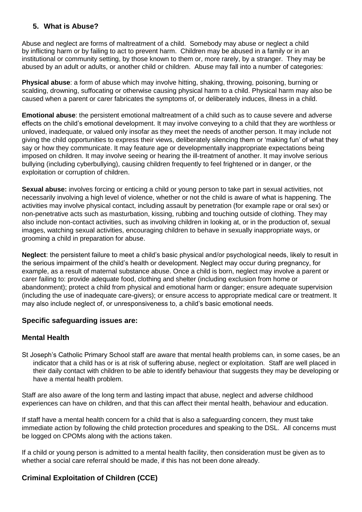#### **5. What is Abuse?**

Abuse and neglect are forms of maltreatment of a child. Somebody may abuse or neglect a child by inflicting harm or by failing to act to prevent harm. Children may be abused in a family or in an institutional or community setting, by those known to them or, more rarely, by a stranger. They may be abused by an adult or adults, or another child or children. Abuse may fall into a number of categories:

**Physical abuse**: a form of abuse which may involve hitting, shaking, throwing, poisoning, burning or scalding, drowning, suffocating or otherwise causing physical harm to a child. Physical harm may also be caused when a parent or carer fabricates the symptoms of, or deliberately induces, illness in a child.

**Emotional abuse**: the persistent emotional maltreatment of a child such as to cause severe and adverse effects on the child's emotional development. It may involve conveying to a child that they are worthless or unloved, inadequate, or valued only insofar as they meet the needs of another person. It may include not giving the child opportunities to express their views, deliberately silencing them or 'making fun' of what they say or how they communicate. It may feature age or developmentally inappropriate expectations being imposed on children. It may involve seeing or hearing the ill-treatment of another. It may involve serious bullying (including cyberbullying), causing children frequently to feel frightened or in danger, or the exploitation or corruption of children.

**Sexual abuse:** involves forcing or enticing a child or young person to take part in sexual activities, not necessarily involving a high level of violence, whether or not the child is aware of what is happening. The activities may involve physical contact, including assault by penetration (for example rape or oral sex) or non-penetrative acts such as masturbation, kissing, rubbing and touching outside of clothing. They may also include non-contact activities, such as involving children in looking at, or in the production of, sexual images, watching sexual activities, encouraging children to behave in sexually inappropriate ways, or grooming a child in preparation for abuse.

**Neglect**: the persistent failure to meet a child's basic physical and/or psychological needs, likely to result in the serious impairment of the child's health or development. Neglect may occur during pregnancy, for example, as a result of maternal substance abuse. Once a child is born, neglect may involve a parent or carer failing to: provide adequate food, clothing and shelter (including exclusion from home or abandonment); protect a child from physical and emotional harm or danger; ensure adequate supervision (including the use of inadequate care-givers); or ensure access to appropriate medical care or treatment. It may also include neglect of, or unresponsiveness to, a child's basic emotional needs.

#### **Specific safeguarding issues are:**

#### **Mental Health**

St Joseph's Catholic Primary School staff are aware that mental health problems can, in some cases, be an indicator that a child has or is at risk of suffering abuse, neglect or exploitation. Staff are well placed in their daily contact with children to be able to identify behaviour that suggests they may be developing or have a mental health problem.

Staff are also aware of the long term and lasting impact that abuse, neglect and adverse childhood experiences can have on children, and that this can affect their mental health, behaviour and education.

If staff have a mental health concern for a child that is also a safeguarding concern, they must take immediate action by following the child protection procedures and speaking to the DSL. All concerns must be logged on CPOMs along with the actions taken.

If a child or young person is admitted to a mental health facility, then consideration must be given as to whether a social care referral should be made, if this has not been done already.

#### **Criminal Exploitation of Children (CCE)**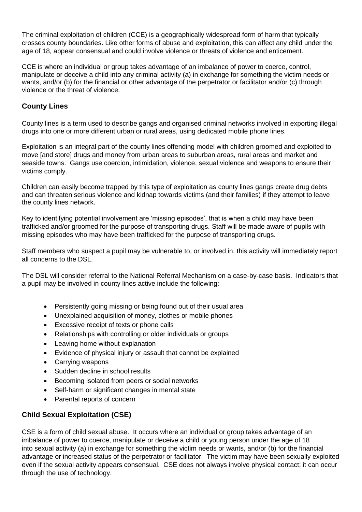The criminal exploitation of children (CCE) is a geographically widespread form of harm that typically crosses county boundaries. Like other forms of abuse and exploitation, this can affect any child under the age of 18, appear consensual and could involve violence or threats of violence and enticement.

CCE is where an individual or group takes advantage of an imbalance of power to coerce, control, manipulate or deceive a child into any criminal activity (a) in exchange for something the victim needs or wants, and/or (b) for the financial or other advantage of the perpetrator or facilitator and/or (c) through violence or the threat of violence.

#### **County Lines**

County lines is a term used to describe gangs and organised criminal networks involved in exporting illegal drugs into one or more different urban or rural areas, using dedicated mobile phone lines.

Exploitation is an integral part of the county lines offending model with children groomed and exploited to move [and store] drugs and money from urban areas to suburban areas, rural areas and market and seaside towns. Gangs use coercion, intimidation, violence, sexual violence and weapons to ensure their victims comply.

Children can easily become trapped by this type of exploitation as county lines gangs create drug debts and can threaten serious violence and kidnap towards victims (and their families) if they attempt to leave the county lines network.

Key to identifying potential involvement are 'missing episodes', that is when a child may have been trafficked and/or groomed for the purpose of transporting drugs. Staff will be made aware of pupils with missing episodes who may have been trafficked for the purpose of transporting drugs.

Staff members who suspect a pupil may be vulnerable to, or involved in, this activity will immediately report all concerns to the DSL.

The DSL will consider referral to the National Referral Mechanism on a case-by-case basis. Indicators that a pupil may be involved in county lines active include the following:

- Persistently going missing or being found out of their usual area
- Unexplained acquisition of money, clothes or mobile phones
- Excessive receipt of texts or phone calls
- Relationships with controlling or older individuals or groups
- Leaving home without explanation
- Evidence of physical injury or assault that cannot be explained
- Carrying weapons
- Sudden decline in school results
- Becoming isolated from peers or social networks
- Self-harm or significant changes in mental state
- Parental reports of concern

#### **Child Sexual Exploitation (CSE)**

CSE is a form of child sexual abuse. It occurs where an individual or group takes advantage of an imbalance of power to coerce, manipulate or deceive a child or young person under the age of 18 into sexual activity (a) in exchange for something the victim needs or wants, and/or (b) for the financial advantage or increased status of the perpetrator or facilitator. The victim may have been sexually exploited even if the sexual activity appears consensual. CSE does not always involve physical contact; it can occur through the use of technology.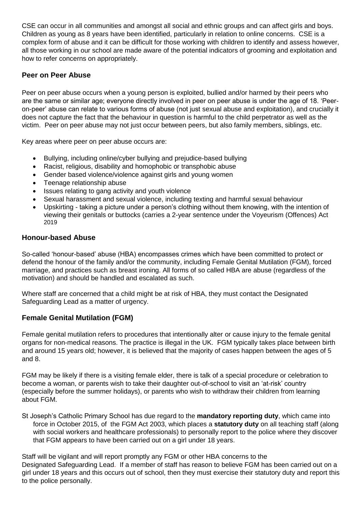CSE can occur in all communities and amongst all social and ethnic groups and can affect girls and boys. Children as young as 8 years have been identified, particularly in relation to online concerns. CSE is a complex form of abuse and it can be difficult for those working with children to identify and assess however, all those working in our school are made aware of the potential indicators of grooming and exploitation and how to refer concerns on appropriately.

#### **Peer on Peer Abuse**

Peer on peer abuse occurs when a young person is exploited, bullied and/or harmed by their peers who are the same or similar age; everyone directly involved in peer on peer abuse is under the age of 18. 'Peeron-peer' abuse can relate to various forms of abuse (not just sexual abuse and exploitation), and crucially it does not capture the fact that the behaviour in question is harmful to the child perpetrator as well as the victim. Peer on peer abuse may not just occur between peers, but also family members, siblings, etc.

Key areas where peer on peer abuse occurs are:

- Bullying, including online/cyber bullying and prejudice-based bullying
- Racist, religious, disability and homophobic or transphobic abuse
- Gender based violence/violence against girls and young women
- Teenage relationship abuse
- Issues relating to gang activity and youth violence
- Sexual harassment and sexual violence, including texting and harmful sexual behaviour
- Upskirting taking a picture under a person's clothing without them knowing, with the intention of viewing their genitals or buttocks (carries a 2-year sentence under the Voyeurism (Offences) Act 2019

#### **Honour-based Abuse**

So-called 'honour-based' abuse (HBA) encompasses crimes which have been committed to protect or defend the honour of the family and/or the community, including Female Genital Mutilation (FGM), forced marriage, and practices such as breast ironing. All forms of so called HBA are abuse (regardless of the motivation) and should be handled and escalated as such.

Where staff are concerned that a child might be at risk of HBA, they must contact the Designated Safeguarding Lead as a matter of urgency.

#### **Female Genital Mutilation (FGM)**

Female genital mutilation refers to procedures that intentionally alter or cause injury to the female genital organs for non-medical reasons. The practice is illegal in the UK. FGM typically takes place between birth and around 15 years old; however, it is believed that the majority of cases happen between the ages of 5 and 8.

FGM may be likely if there is a visiting female elder, there is talk of a special procedure or celebration to become a woman, or parents wish to take their daughter out-of-school to visit an 'at-risk' country (especially before the summer holidays), or parents who wish to withdraw their children from learning about FGM.

St Joseph's Catholic Primary School has due regard to the **mandatory reporting duty**, which came into force in October 2015, of the FGM Act 2003, which places a **statutory duty** on all teaching staff (along with social workers and healthcare professionals) to personally report to the police where they discover that FGM appears to have been carried out on a girl under 18 years.

Staff will be vigilant and will report promptly any FGM or other HBA concerns to the Designated Safeguarding Lead. If a member of staff has reason to believe FGM has been carried out on a girl under 18 years and this occurs out of school, then they must exercise their statutory duty and report this to the police personally.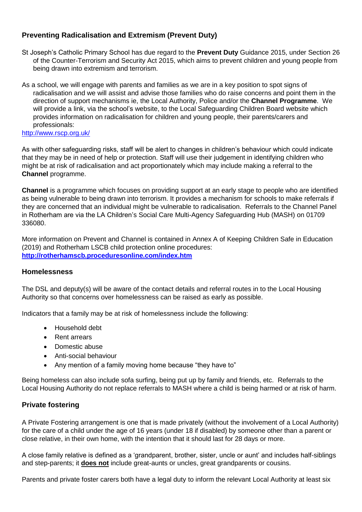#### **Preventing Radicalisation and Extremism (Prevent Duty)**

- St Joseph's Catholic Primary School has due regard to the **Prevent Duty** Guidance 2015, under Section 26 of the Counter-Terrorism and Security Act 2015, which aims to prevent children and young people from being drawn into extremism and terrorism.
- As a school, we will engage with parents and families as we are in a key position to spot signs of radicalisation and we will assist and advise those families who do raise concerns and point them in the direction of support mechanisms ie, the Local Authority, Police and/or the **Channel Programme**. We will provide a link, via the school's website, to the Local Safeguarding Children Board website which provides information on radicalisation for children and young people, their parents/carers and professionals:

#### <http://www.rscp.org.uk/>

As with other safeguarding risks, staff will be alert to changes in children's behaviour which could indicate that they may be in need of help or protection. Staff will use their judgement in identifying children who might be at risk of radicalisation and act proportionately which may include making a referral to the **Channel** programme.

**Channel** is a programme which focuses on providing support at an early stage to people who are identified as being vulnerable to being drawn into terrorism. It provides a mechanism for schools to make referrals if they are concerned that an individual might be vulnerable to radicalisation. Referrals to the Channel Panel in Rotherham are via the LA Children's Social Care Multi-Agency Safeguarding Hub (MASH) on 01709 336080.

More information on Prevent and Channel is contained in Annex A of Keeping Children Safe in Education (2019) and Rotherham LSCB child protection online procedures: **<http://rotherhamscb.proceduresonline.com/index.htm>**

#### **Homelessness**

The DSL and deputy(s) will be aware of the contact details and referral routes in to the Local Housing Authority so that concerns over homelessness can be raised as early as possible.

Indicators that a family may be at risk of homelessness include the following:

- Household debt
- Rent arrears
- Domestic abuse
- Anti-social behaviour
- Any mention of a family moving home because "they have to"

Being homeless can also include sofa surfing, being put up by family and friends, etc.Referrals to the Local Housing Authority do not replace referrals to MASH where a child is being harmed or at risk of harm.

#### **Private fostering**

A Private Fostering arrangement is one that is made privately (without the involvement of a Local Authority) for the care of a child under the age of 16 years (under 18 if disabled) by someone other than a parent or close relative, in their own home, with the intention that it should last for 28 days or more.

A close family relative is defined as a 'grandparent, brother, sister, uncle or aunt' and includes half-siblings and step-parents; it **does not** include great-aunts or uncles, great grandparents or cousins.

Parents and private foster carers both have a legal duty to inform the relevant Local Authority at least six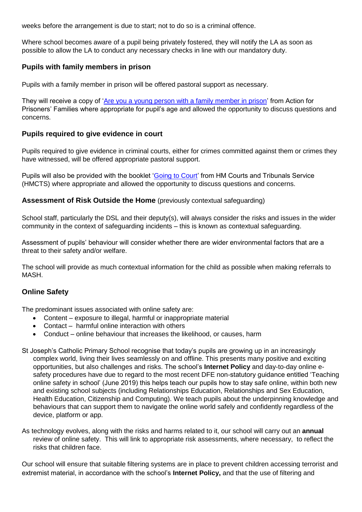weeks before the arrangement is due to start; not to do so is a criminal offence.

Where school becomes aware of a pupil being privately fostered, they will notify the LA as soon as possible to allow the LA to conduct any necessary checks in line with our mandatory duty.

#### **Pupils with family members in prison**

Pupils with a family member in prison will be offered pastoral support as necessary.

They will receive a copy of ['Are you a young person with a family member in prison'](https://www.nicco.org.uk/directory-of-resources) from Action for Prisoners' Families where appropriate for pupil's age and allowed the opportunity to discuss questions and concerns.

#### **Pupils required to give evidence in court**

Pupils required to give evidence in criminal courts, either for crimes committed against them or crimes they have witnessed, will be offered appropriate pastoral support.

Pupils will also be provided with the booklet ['Going to Court'](https://www.gov.uk/government/publications/young-witness-booklet-for-5-to-11-year-olds) from HM Courts and Tribunals Service (HMCTS) where appropriate and allowed the opportunity to discuss questions and concerns.

**Assessment of Risk Outside the Home** (previously contextual safeguarding)

School staff, particularly the DSL and their deputy(s), will always consider the risks and issues in the wider community in the context of safeguarding incidents – this is known as contextual safeguarding.

Assessment of pupils' behaviour will consider whether there are wider environmental factors that are a threat to their safety and/or welfare.

The school will provide as much contextual information for the child as possible when making referrals to MASH.

#### **Online Safety**

The predominant issues associated with online safety are:

- Content exposure to illegal, harmful or inappropriate material
- Contact harmful online interaction with others
- Conduct online behaviour that increases the likelihood, or causes, harm
- St Joseph's Catholic Primary School recognise that today's pupils are growing up in an increasingly complex world, living their lives seamlessly on and offline. This presents many positive and exciting opportunities, but also challenges and risks. The school's **Internet Policy** and day-to-day online esafety procedures have due to regard to the most recent DFE non-statutory guidance entitled 'Teaching online safety in school' (June 2019) this helps teach our pupils how to stay safe online, within both new and existing school subjects (including Relationships Education, Relationships and Sex Education, Health Education, Citizenship and Computing). We teach pupils about the underpinning knowledge and behaviours that can support them to navigate the online world safely and confidently regardless of the device, platform or app.
- As technology evolves, along with the risks and harms related to it, our school will carry out an **annual**  review of online safety. This will link to appropriate risk assessments, where necessary, to reflect the risks that children face.

Our school will ensure that suitable filtering systems are in place to prevent children accessing terrorist and extremist material, in accordance with the school's **Internet Policy,** and that the use of filtering and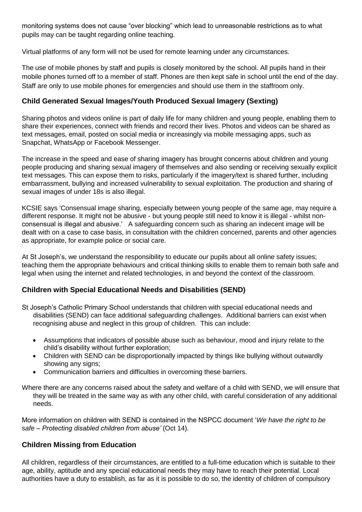monitoring systems does not cause "over blocking" which lead to unreasonable restrictions as to what pupils may can be taught regarding online teaching.

Virtual platforms of any form will not be used for remote learning under any circumstances.

The use of mobile phones by staff and pupils is closely monitored by the school. All pupils hand in their mobile phones turned off to a member of staff. Phones are then kept safe in school until the end of the day. Staff are only to use mobile phones for emergencies and should use them in the staffroom only.

#### **Child Generated Sexual Images/Youth Produced Sexual Imagery (Sexting)**

Sharing photos and videos online is part of daily life for many children and young people, enabling them to share their experiences, connect with friends and record their lives. Photos and videos can be shared as text messages, email, posted on social media or increasingly via mobile messaging apps, such as Snapchat, WhatsApp or Facebook Messenger.

The increase in the speed and ease of sharing imagery has brought concerns about children and young people producing and sharing sexual imagery of themselves and also sending or receiving sexually explicit text messages. This can expose them to risks, particularly if the imagery/text is shared further, including embarrassment, bullying and increased vulnerability to sexual exploitation. The production and sharing of sexual images of under 18s is also illegal.

KCSIE says 'Consensual image sharing, especially between young people of the same age, may require a different response. It might not be abusive - but young people still need to know it is illegal - whilst nonconsensual is illegal and abusive.' A safeguarding concern such as sharing an indecent image will be dealt with on a case to case basis, in consultation with the children concerned, parents and other agencies as appropriate, for example police or social care.

At St Joseph's, we understand the responsibility to educate our pupils about all online safety issues; teaching them the appropriate behaviours and critical thinking skills to enable them to remain both safe and legal when using the internet and related technologies, in and beyond the context of the classroom.

#### **Children with Special Educational Needs and Disabilities (SEND)**

- St Joseph's Catholic Primary School understands that children with special educational needs and disabilities (SEND) can face additional safeguarding challenges. Additional barriers can exist when recognising abuse and neglect in this group of children. This can include:
	- Assumptions that indicators of possible abuse such as behaviour, mood and injury relate to the child's disability without further exploration;
	- Children with SEND can be disproportionally impacted by things like bullying without outwardly showing any signs;
	- Communication barriers and difficulties in overcoming these barriers.
- Where there are any concerns raised about the safety and welfare of a child with SEND, we will ensure that they will be treated in the same way as with any other child, with careful consideration of any additional needs.

More information on children with SEND is contained in the NSPCC document '*We have the right to be safe* – *Protecting disabled children from abuse'* (Oct 14).

#### **Children Missing from Education**

All children, regardless of their circumstances, are entitled to a full-time education which is suitable to their age, ability, aptitude and any special educational needs they may have to reach their potential. Local authorities have a duty to establish, as far as it is possible to do so, the identity of children of compulsory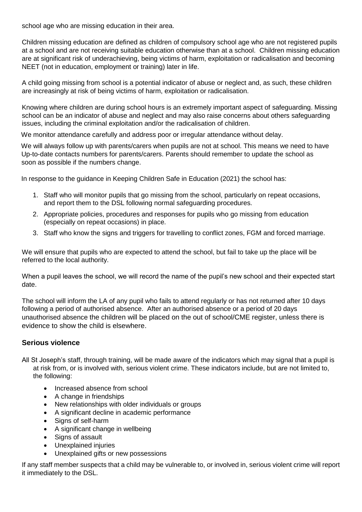school age who are missing education in their area.

Children missing education are defined as children of compulsory school age who are not registered pupils at a school and are not receiving suitable education otherwise than at a school. Children missing education are at significant risk of underachieving, being victims of harm, exploitation or radicalisation and becoming NEET (not in education, employment or training) later in life.

A child going missing from school is a potential indicator of abuse or neglect and, as such, these children are increasingly at risk of being victims of harm, exploitation or radicalisation.

Knowing where children are during school hours is an extremely important aspect of safeguarding. Missing school can be an indicator of abuse and neglect and may also raise concerns about others safeguarding issues, including the criminal exploitation and/or the radicalisation of children.

We monitor attendance carefully and address poor or irregular attendance without delay.

 We will always follow up with parents/carers when pupils are not at school. This means we need to have Up-to-date contacts numbers for parents/carers. Parents should remember to update the school as soon as possible if the numbers change.

In response to the guidance in Keeping Children Safe in Education (2021) the school has:

- 1. Staff who will monitor pupils that go missing from the school, particularly on repeat occasions, and report them to the DSL following normal safeguarding procedures.
- 2. Appropriate policies, procedures and responses for pupils who go missing from education (especially on repeat occasions) in place.
- 3. Staff who know the signs and triggers for travelling to conflict zones, FGM and forced marriage.

We will ensure that pupils who are expected to attend the school, but fail to take up the place will be referred to the local authority.

When a pupil leaves the school, we will record the name of the pupil's new school and their expected start date.

The school will inform the LA of any pupil who fails to attend regularly or has not returned after 10 days following a period of authorised absence. After an authorised absence or a period of 20 days unauthorised absence the children will be placed on the out of school/CME register, unless there is evidence to show the child is elsewhere.

#### **Serious violence**

- All St Joseph's staff, through training, will be made aware of the indicators which may signal that a pupil is at risk from, or is involved with, serious violent crime. These indicators include, but are not limited to, the following:
	- Increased absence from school
	- A change in friendships
	- New relationships with older individuals or groups
	- A significant decline in academic performance
	- Signs of self-harm
	- A significant change in wellbeing
	- Signs of assault
	- Unexplained injuries
	- Unexplained gifts or new possessions

If any staff member suspects that a child may be vulnerable to, or involved in, serious violent crime will report it immediately to the DSL.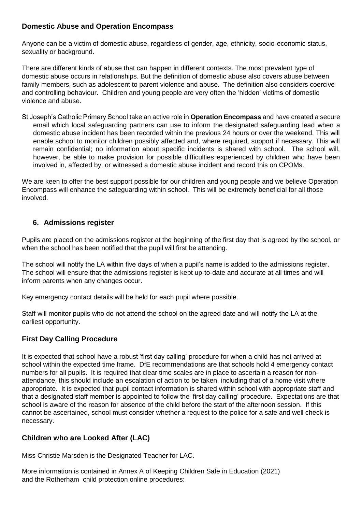#### **Domestic Abuse and Operation Encompass**

Anyone can be a victim of domestic abuse, regardless of gender, age, ethnicity, socio-economic status, sexuality or background.

There are different kinds of abuse that can happen in different contexts. The most prevalent type of domestic abuse occurs in relationships. But the definition of domestic abuse also covers abuse between family members, such as adolescent to parent violence and abuse. The definition also considers coercive and controlling behaviour. Children and young people are very often the 'hidden' victims of domestic violence and abuse.

St Joseph's Catholic Primary School take an active role in **Operation Encompass** and have created a secure email which local safeguarding partners can use to inform the designated safeguarding lead when a domestic abuse incident has been recorded within the previous 24 hours or over the weekend. This will enable school to monitor children possibly affected and, where required, support if necessary. This will remain confidential; no information about specific incidents is shared with school. The school will, however, be able to make provision for possible difficulties experienced by children who have been involved in, affected by, or witnessed a domestic abuse incident and record this on CPOMs.

We are keen to offer the best support possible for our children and young people and we believe Operation Encompass will enhance the safeguarding within school. This will be extremely beneficial for all those involved.

#### **6. Admissions register**

Pupils are placed on the admissions register at the beginning of the first day that is agreed by the school, or when the school has been notified that the pupil will first be attending.

The school will notify the LA within five days of when a pupil's name is added to the admissions register. The school will ensure that the admissions register is kept up-to-date and accurate at all times and will inform parents when any changes occur.

Key emergency contact details will be held for each pupil where possible.

Staff will monitor pupils who do not attend the school on the agreed date and will notify the LA at the earliest opportunity.

#### **First Day Calling Procedure**

It is expected that school have a robust 'first day calling' procedure for when a child has not arrived at school within the expected time frame. DfE recommendations are that schools hold 4 emergency contact numbers for all pupils. It is required that clear time scales are in place to ascertain a reason for nonattendance, this should include an escalation of action to be taken, including that of a home visit where appropriate. It is expected that pupil contact information is shared within school with appropriate staff and that a designated staff member is appointed to follow the 'first day calling' procedure. Expectations are that school is aware of the reason for absence of the child before the start of the afternoon session. If this cannot be ascertained, school must consider whether a request to the police for a safe and well check is necessary.

#### **Children who are Looked After (LAC)**

Miss Christie Marsden is the Designated Teacher for LAC.

More information is contained in Annex A of Keeping Children Safe in Education (2021) and the Rotherham child protection online procedures: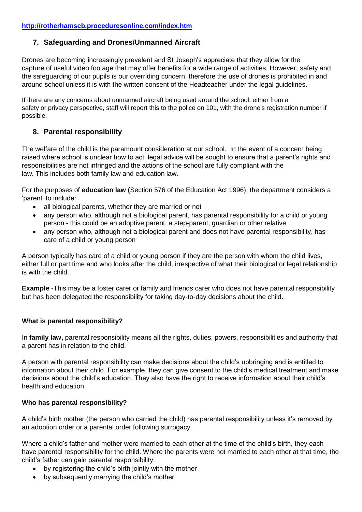#### **7. Safeguarding and Drones/Unmanned Aircraft**

Drones are becoming increasingly prevalent and St Joseph's appreciate that they allow for the capture of useful video footage that may offer benefits for a wide range of activities. However, safety and the safeguarding of our pupils is our overriding concern, therefore the use of drones is prohibited in and around school unless it is with the written consent of the Headteacher under the legal guidelines.

If there are any concerns about unmanned aircraft being used around the school, either from a safety or privacy perspective, staff will report this to the police on 101, with the drone's registration number if possible.

#### **8. Parental responsibility**

The welfare of the child is the paramount consideration at our school. In the event of a concern being raised where school is unclear how to act, legal advice will be sought to ensure that a parent's rights and responsibilities are not infringed and the actions of the school are fully compliant with the law. This includes both family law and education law.

For the purposes of **education law (**Section 576 of the Education Act 1996), the department considers a 'parent' to include:

- all biological parents, whether they are married or not
- any person who, although not a biological parent, has parental responsibility for a child or young person - this could be an adoptive parent, a step-parent, guardian or other relative
- any person who, although not a biological parent and does not have parental responsibility, has care of a child or young person

A person typically has care of a child or young person if they are the person with whom the child lives, either full or part time and who looks after the child, irrespective of what their biological or legal relationship is with the child.

**Example -**This may be a foster carer or family and friends carer who does not have parental responsibility but has been delegated the responsibility for taking day-to-day decisions about the child.

#### **What is parental responsibility?**

In **[family](https://www.legislation.gov.uk/ukpga/1989/41/section/3) law,** parental responsibility means all the rights, duties, powers, responsibilities and authority that a parent has in relation to the child.

A person with parental responsibility can make decisions about the child's upbringing and is entitled to information about their child. For example, they can give consent to the child's medical treatment and make decisions about the child's education. They also have the right to receive information about their child's health and education.

#### **Who has parental responsibility?**

A child's birth mother (the person who carried the child) has parental responsibility unless it's removed by an adoption order or a parental order following surrogacy.

Where a child's father and mother were married to each other at the time of the child's birth, they each have parental responsibility for the child. Where the parents were not married to each other at that time, the child's father can gain parental responsibility:

- by registering the child's birth jointly with the mother
- by subsequently marrying the child's mother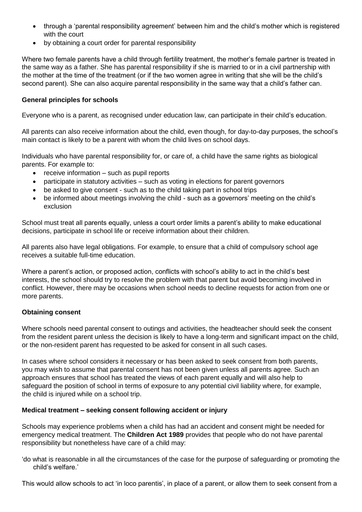- through a 'parental responsibility agreement' between him and the child's mother which is registered with the court
- by obtaining a court order for parental responsibility

Where two female parents have a child through fertility treatment, the mother's female partner is treated in the same way as a father. She has parental responsibility if she is married to or in a civil partnership with the mother at the time of the treatment (or if the two women agree in writing that she will be the child's second parent). She can also acquire parental responsibility in the same way that a child's father can.

#### **General principles for schools**

Everyone who is a [parent,](https://www.gov.uk/government/publications/dealing-with-issues-relating-to-parental-responsibility/understanding-and-dealing-with-issues-relating-to-parental-responsibility#whoisaparent) as recognised under education law, can participate in their child's education.

All parents can also receive [information](http://www.legislation.gov.uk/uksi/2005/1437/contents/made) about the child, even though, for day-to-day purposes, the school's main contact is likely to be a parent with whom the child lives on school days.

Individuals who have parental responsibility for, or care of, a child have the same rights as biological parents. For example to:

- receive information such as pupil reports
- participate in statutory activities such as voting in elections for parent governors
- be asked to give consent such as to the child taking part in school trips
- be informed about meetings involving the child such as a governors' meeting on the child's exclusion

School must treat all parents equally, unless a court order limits a parent's ability to make educational decisions, participate in school life or receive information about their children.

All parents also have legal obligations. For example, to ensure that a child of compulsory school age receives a suitable full-time [education.](http://www.legislation.gov.uk/ukpga/1996/56/section/7)

Where a parent's action, or proposed action, conflicts with school's ability to act in the child's best interests, the school should try to resolve the problem with that parent but avoid becoming involved in conflict. However, there may be occasions when school needs to decline requests for action from one or more parents.

#### **Obtaining consent**

Where schools need parental consent to outings and activities, the headteacher should seek the consent from the resident parent unless the decision is likely to have a long-term and significant impact on the child, or the non-resident parent has requested to be asked for consent in all such cases.

In cases where school considers it necessary or has been asked to seek consent from both parents, you may wish to assume that parental consent has not been given unless all parents agree. Such an approach ensures that school has treated the views of each parent equally and will also help to safeguard the position of school in terms of exposure to any potential civil liability where, for example, the child is injured while on a school trip.

#### **Medical treatment – seeking consent following accident or injury**

Schools may experience problems when a child has had an accident and consent might be needed for emergency medical treatment. The **Children Act 1989** provides that people who do not have parental responsibility but nonetheless have care of a child may:

'do what is reasonable in all the circumstances of the case for the purpose of safeguarding or promoting the child's welfare.'

This would allow schools to act 'in loco parentis', in place of a parent, or allow them to seek consent from a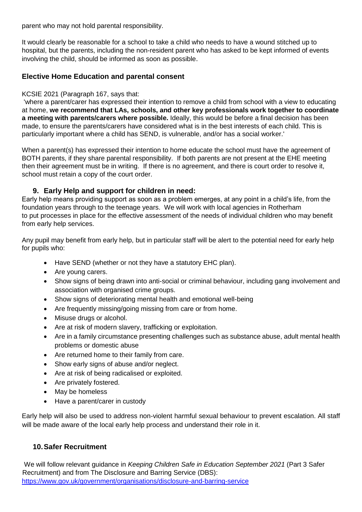parent who may not hold parental responsibility.

It would clearly be reasonable for a school to take a child who needs to have a wound stitched up to hospital, but the parents, including the non-resident parent who has asked to be kept informed of events involving the child, should be informed as soon as possible.

#### **Elective Home Education and parental consent**

#### KCSIE 2021 (Paragraph 167, says that:

'where a parent/carer has expressed their intention to remove a child from school with a view to educating at home, **we recommend that LAs, schools, and other key professionals work together to coordinate a meeting with parents/carers where possible.** Ideally, this would be before a final decision has been made, to ensure the parents/carers have considered what is in the best interests of each child. This is particularly important where a child has SEND, is vulnerable, and/or has a social worker.'

When a parent(s) has expressed their intention to home educate the school must have the agreement of BOTH parents, if they share parental responsibility. If both parents are not present at the EHE meeting then their agreement must be in writing. If there is no agreement, and there is court order to resolve it, school must retain a copy of the court order.

#### **9. Early Help and support for children in need:**

Early help means providing support as soon as a problem emerges, at any point in a child's life, from the foundation years through to the teenage years. We will work with local agencies in Rotherham to put processes in place for the effective assessment of the needs of individual children who may benefit from early help services.

Any pupil may benefit from early help, but in particular staff will be alert to the potential need for early help for pupils who:

- Have SEND (whether or not they have a statutory EHC plan).
- Are young carers.
- Show signs of being drawn into anti-social or criminal behaviour, including gang involvement and association with organised crime groups.
- Show signs of deteriorating mental health and emotional well-being
- Are frequently missing/going missing from care or from home.
- Misuse drugs or alcohol.
- Are at risk of modern slavery, trafficking or exploitation.
- Are in a family circumstance presenting challenges such as substance abuse, adult mental health problems or domestic abuse
- Are returned home to their family from care.
- Show early signs of abuse and/or neglect.
- Are at risk of being radicalised or exploited.
- Are privately fostered.
- May be homeless
- Have a parent/carer in custody

Early help will also be used to address non-violent harmful sexual behaviour to prevent escalation. All staff will be made aware of the local early help process and understand their role in it.

#### **10.Safer Recruitment**

We will follow relevant guidance in *Keeping Children Safe in Education September 2021* (Part 3 Safer Recruitment) and from The Disclosure and Barring Service (DBS): <https://www.gov.uk/government/organisations/disclosure-and-barring-service>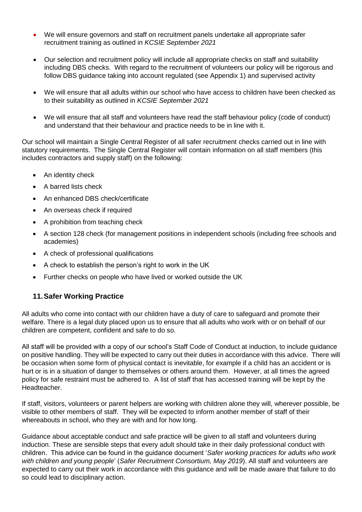- We will ensure governors and staff on recruitment panels undertake all appropriate safer recruitment training as outlined in *KCSIE September 2021*
- Our selection and recruitment policy will include all appropriate checks on staff and suitability including DBS checks. With regard to the recruitment of volunteers our policy will be rigorous and follow DBS guidance taking into account regulated (see Appendix 1) and supervised activity
- We will ensure that all adults within our school who have access to children have been checked as to their suitability as outlined in *KCSIE September 2021*
- We will ensure that all staff and volunteers have read the staff behaviour policy (code of conduct) and understand that their behaviour and practice needs to be in line with it.

Our school will maintain a Single Central Register of all safer recruitment checks carried out in line with statutory requirements. The Single Central Register will contain information on all staff members (this includes contractors and supply staff) on the following:

- An identity check
- A barred lists check
- An enhanced DBS check/certificate
- An overseas check if required
- A prohibition from teaching check
- A section 128 check (for management positions in independent schools (including free schools and academies)
- A check of professional qualifications
- A check to establish the person's right to work in the UK
- Further checks on people who have lived or worked outside the UK

#### **11.Safer Working Practice**

All adults who come into contact with our children have a duty of care to safeguard and promote their welfare. There is a legal duty placed upon us to ensure that all adults who work with or on behalf of our children are competent, confident and safe to do so.

All staff will be provided with a copy of our school's Staff Code of Conduct at induction, to include guidance on positive handling. They will be expected to carry out their duties in accordance with this advice. There will be occasion when some form of physical contact is inevitable, for example if a child has an accident or is hurt or is in a situation of danger to themselves or others around them. However, at all times the agreed policy for safe restraint must be adhered to. A list of staff that has accessed training will be kept by the Headteacher.

If staff, visitors, volunteers or parent helpers are working with children alone they will, wherever possible, be visible to other members of staff. They will be expected to inform another member of staff of their whereabouts in school, who they are with and for how long.

Guidance about acceptable conduct and safe practice will be given to all staff and volunteers during induction. These are sensible steps that every adult should take in their daily professional conduct with children. This advice can be found in the guidance document '*Safer working practices for adults who work with children and young people*' (*Safer Recruitment Consortium, May 2019*). All staff and volunteers are expected to carry out their work in accordance with this guidance and will be made aware that failure to do so could lead to disciplinary action.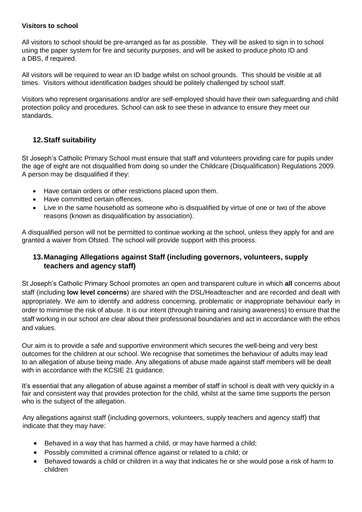#### **Visitors to school**

All visitors to school should be pre-arranged as far as possible. They will be asked to sign in to school using the paper system for fire and security purposes, and will be asked to produce photo ID and a DBS, if required.

All visitors will be required to wear an ID badge whilst on school grounds. This should be visible at all times. Visitors without identification badges should be politely challenged by school staff.

Visitors who represent organisations and/or are self-employed should have their own safeguarding and child protection policy and procedures. School can ask to see these in advance to ensure they meet our standards.

#### **12.Staff suitability**

St Joseph's Catholic Primary School must ensure that staff and volunteers providing care for pupils under the age of eight are not disqualified from doing so under the Childcare (Disqualification) Regulations 2009. A person may be disqualified if they:

- Have certain orders or other restrictions placed upon them.
- Have committed certain offences.
- Live in the same household as someone who is disqualified by virtue of one or two of the above reasons (known as disqualification by association).

A disqualified person will not be permitted to continue working at the school, unless they apply for and are granted a waiver from Ofsted. The school will provide support with this process.

#### **13.Managing Allegations against Staff (including governors, volunteers, supply teachers and agency staff)**

St Joseph's Catholic Primary School promotes an open and transparent culture in which **all** concerns about staff (including **low level concerns**) are shared with the DSL/Headteacher and are recorded and dealt with appropriately. We aim to identify and address concerning, problematic or inappropriate behaviour early in order to minimise the risk of abuse. It is our intent (through training and raising awareness) to ensure that the staff working in our school are clear about their professional boundaries and act in accordance with the ethos and values.

Our aim is to provide a safe and supportive environment which secures the well-being and very best outcomes for the children at our school. We recognise that sometimes the behaviour of adults may lead to an allegation of abuse being made. Any allegations of abuse made against staff members will be dealt with in accordance with the KCSIE 21 quidance.

It's essential that any allegation of abuse against a member of staff in school is dealt with very quickly in a fair and consistent way that provides protection for the child, whilst at the same time supports the person who is the subject of the allegation.

Any allegations against staff (including governors, volunteers, supply teachers and agency staff) that indicate that they may have:

- Behaved in a way that has harmed a child, or may have harmed a child;
- Possibly committed a criminal offence against or related to a child; or
- Behaved towards a child or children in a way that indicates he or she would pose a risk of harm to children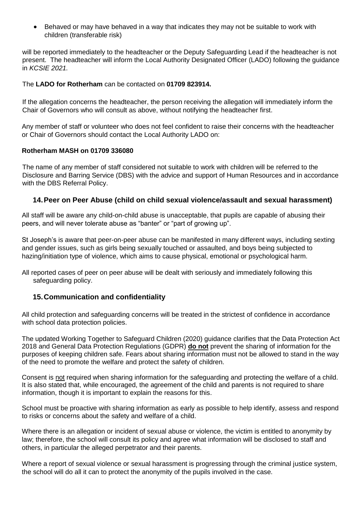Behaved or may have behaved in a way that indicates they may not be suitable to work with children (transferable risk)

will be reported immediately to the headteacher or the Deputy Safeguarding Lead if the headteacher is not present. The headteacher will inform the Local Authority Designated Officer (LADO) following the guidance in *KCSIE 2021.* 

#### The **LADO for Rotherham** can be contacted on **01709 823914.**

If the allegation concerns the headteacher, the person receiving the allegation will immediately inform the Chair of Governors who will consult as above, without notifying the headteacher first.

Any member of staff or volunteer who does not feel confident to raise their concerns with the headteacher or Chair of Governors should contact the Local Authority LADO on:

#### **Rotherham MASH on 01709 336080**

The name of any member of staff considered not suitable to work with children will be referred to the Disclosure and Barring Service (DBS) with the advice and support of Human Resources and in accordance with the DBS Referral Policy.

#### **14.Peer on Peer Abuse (child on child sexual violence/assault and sexual harassment)**

All staff will be aware any child-on-child abuse is unacceptable, that pupils are capable of abusing their peers, and will never tolerate abuse as "banter" or "part of growing up".

St Joseph's is aware that peer-on-peer abuse can be manifested in many different ways, including sexting and gender issues, such as girls being sexually touched or assaulted, and boys being subjected to hazing/initiation type of violence, which aims to cause physical, emotional or psychological harm.

All reported cases of peer on peer abuse will be dealt with seriously and immediately following this safeguarding policy.

#### **15.Communication and confidentiality**

All child protection and safeguarding concerns will be treated in the strictest of confidence in accordance with school data protection policies.

The updated Working Together to Safeguard Children (2020) guidance clarifies that the Data Protection Act 2018 and General Data Protection Regulations (GDPR) **do not** prevent the sharing of information for the purposes of keeping children safe. Fears about sharing information must not be allowed to stand in the way of the need to promote the welfare and protect the safety of children.

Consent is not required when sharing information for the safeguarding and protecting the welfare of a child. It is also stated that, while encouraged, the agreement of the child and parents is not required to share information, though it is important to explain the reasons for this.

School must be proactive with sharing information as early as possible to help identify, assess and respond to risks or concerns about the safety and welfare of a child.

Where there is an allegation or incident of sexual abuse or violence, the victim is entitled to anonymity by law; therefore, the school will consult its policy and agree what information will be disclosed to staff and others, in particular the alleged perpetrator and their parents.

Where a report of sexual violence or sexual harassment is progressing through the criminal justice system, the school will do all it can to protect the anonymity of the pupils involved in the case.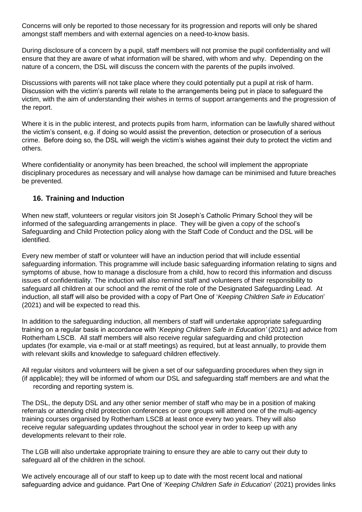Concerns will only be reported to those necessary for its progression and reports will only be shared amongst staff members and with external agencies on a need-to-know basis.

During disclosure of a concern by a pupil, staff members will not promise the pupil confidentiality and will ensure that they are aware of what information will be shared, with whom and why. Depending on the nature of a concern, the DSL will discuss the concern with the parents of the pupils involved.

Discussions with parents will not take place where they could potentially put a pupil at risk of harm. Discussion with the victim's parents will relate to the arrangements being put in place to safeguard the victim, with the aim of understanding their wishes in terms of support arrangements and the progression of the report.

Where it is in the public interest, and protects pupils from harm, information can be lawfully shared without the victim's consent, e.g. if doing so would assist the prevention, detection or prosecution of a serious crime. Before doing so, the DSL will weigh the victim's wishes against their duty to protect the victim and others.

Where confidentiality or anonymity has been breached, the school will implement the appropriate disciplinary procedures as necessary and will analyse how damage can be minimised and future breaches be prevented.

#### **16. Training and Induction**

When new staff, volunteers or regular visitors join St Joseph's Catholic Primary School they will be informed of the safeguarding arrangements in place. They will be given a copy of the school's Safeguarding and Child Protection policy along with the Staff Code of Conduct and the DSL will be identified.

Every new member of staff or volunteer will have an induction period that will include essential safeguarding information. This programme will include basic safeguarding information relating to signs and symptoms of abuse, how to manage a disclosure from a child, how to record this information and discuss issues of confidentiality. The induction will also remind staff and volunteers of their responsibility to safeguard all children at our school and the remit of the role of the Designated Safeguarding Lead. At induction, all staff will also be provided with a copy of Part One of '*Keeping Children Safe in Education*' (2021) and will be expected to read this.

In addition to the safeguarding induction, all members of staff will undertake appropriate safeguarding training on a regular basis in accordance with '*Keeping Children Safe in Education'* (2021) and advice from Rotherham LSCB. All staff members will also receive regular safeguarding and child protection updates (for example, via e-mail or at staff meetings) as required, but at least annually, to provide them with relevant skills and knowledge to safeguard children effectively.

All regular visitors and volunteers will be given a set of our safeguarding procedures when they sign in (if applicable); they will be informed of whom our DSL and safeguarding staff members are and what the recording and reporting system is.

The DSL, the deputy DSL and any other senior member of staff who may be in a position of making referrals or attending child protection conferences or core groups will attend one of the multi-agency training courses organised by Rotherham LSCB at least once every two years. They will also receive regular safeguarding updates throughout the school year in order to keep up with any developments relevant to their role.

The LGB will also undertake appropriate training to ensure they are able to carry out their duty to safeguard all of the children in the school.

We actively encourage all of our staff to keep up to date with the most recent local and national safeguarding advice and guidance. Part One of '*Keeping Children Safe in Education*' (2021) provides links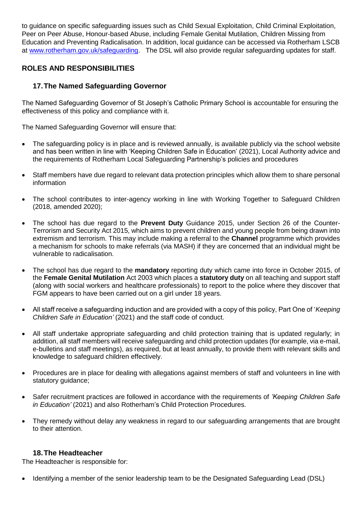to guidance on specific safeguarding issues such as Child Sexual Exploitation, Child Criminal Exploitation, Peer on Peer Abuse, Honour-based Abuse, including Female Genital Mutilation, Children Missing from Education and Preventing Radicalisation. In addition, local guidance can be accessed via Rotherham LSCB at [www.rotherham.gov.uk/safeguarding.](http://www.rotherham.gov.uk/safeguarding) The DSL will also provide regular safeguarding updates for staff.

#### **ROLES AND RESPONSIBILITIES**

#### **17.The Named Safeguarding Governor**

The Named Safeguarding Governor of St Joseph's Catholic Primary School is accountable for ensuring the effectiveness of this policy and compliance with it.

The Named Safeguarding Governor will ensure that:

- The safeguarding policy is in place and is reviewed annually, is available publicly via the school website and has been written in line with 'Keeping Children Safe in Education' (2021), Local Authority advice and the requirements of Rotherham Local Safeguarding Partnership's policies and procedures
- Staff members have due regard to relevant data protection principles which allow them to share personal information
- The school contributes to inter-agency working in line with Working Together to Safeguard Children (2018, amended 2020);
- The school has due regard to the **Prevent Duty** Guidance 2015, under Section 26 of the Counter-Terrorism and Security Act 2015, which aims to prevent children and young people from being drawn into extremism and terrorism. This may include making a referral to the **Channel** programme which provides a mechanism for schools to make referrals (via MASH) if they are concerned that an individual might be vulnerable to radicalisation.
- The school has due regard to the **mandatory** reporting duty which came into force in October 2015, of the **Female Genital Mutilation** Act 2003 which places a **statutory duty** on all teaching and support staff (along with social workers and healthcare professionals) to report to the police where they discover that FGM appears to have been carried out on a girl under 18 years.
- All staff receive a safeguarding induction and are provided with a copy of this policy, Part One of '*Keeping Children Safe in Education'* (2021) and the staff code of conduct.
- All staff undertake appropriate safeguarding and child protection training that is updated regularly; in addition, all staff members will receive safeguarding and child protection updates (for example, via e-mail, e-bulletins and staff meetings), as required, but at least annually, to provide them with relevant skills and knowledge to safeguard children effectively.
- Procedures are in place for dealing with allegations against members of staff and volunteers in line with statutory guidance;
- Safer recruitment practices are followed in accordance with the requirements of *'Keeping Children Safe in Education'* (2021) and also Rotherham's Child Protection Procedures.
- They remedy without delay any weakness in regard to our safeguarding arrangements that are brought to their attention.

#### **18.The Headteacher**

The Headteacher is responsible for:

Identifying a member of the senior leadership team to be the Designated Safeguarding Lead (DSL)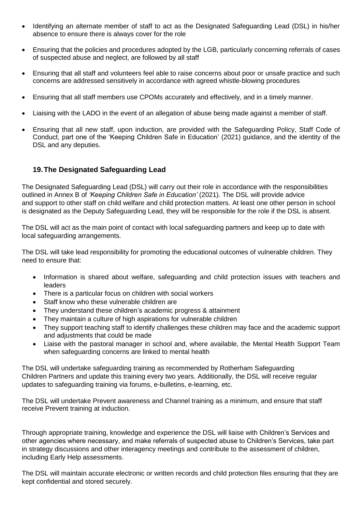- Identifying an alternate member of staff to act as the Designated Safeguarding Lead (DSL) in his/her absence to ensure there is always cover for the role
- Ensuring that the policies and procedures adopted by the LGB, particularly concerning referrals of cases of suspected abuse and neglect, are followed by all staff
- Ensuring that all staff and volunteers feel able to raise concerns about poor or unsafe practice and such concerns are addressed sensitively in accordance with agreed whistle-blowing procedures
- Ensuring that all staff members use CPOMs accurately and effectively, and in a timely manner.
- Liaising with the LADO in the event of an allegation of abuse being made against a member of staff.
- Ensuring that all new staff, upon induction, are provided with the Safeguarding Policy, Staff Code of Conduct, part one of the 'Keeping Children Safe in Education' (2021) guidance, and the identity of the DSL and any deputies.

#### **19.The Designated Safeguarding Lead**

The Designated Safeguarding Lead (DSL) will carry out their role in accordance with the responsibilities outlined in Annex B of *'Keeping Children Safe in Education'* (2021)*.* The DSL will provide advice and support to other staff on child welfare and child protection matters. At least one other person in school is designated as the Deputy Safeguarding Lead, they will be responsible for the role if the DSL is absent.

The DSL will act as the main point of contact with local safeguarding partners and keep up to date with local safeguarding arrangements.

The DSL will take lead responsibility for promoting the educational outcomes of vulnerable children. They need to ensure that:

- Information is shared about welfare, safeguarding and child protection issues with teachers and leaders
- There is a particular focus on children with social workers
- Staff know who these vulnerable children are
- They understand these children's academic progress & attainment
- They maintain a culture of high aspirations for vulnerable children
- They support teaching staff to identify challenges these children may face and the academic support and adjustments that could be made
- Liaise with the pastoral manager in school and, where available, the Mental Health Support Team when safeguarding concerns are linked to mental health

The DSL will undertake safeguarding training as recommended by Rotherham Safeguarding Children Partners and update this training every two years. Additionally, the DSL will receive regular updates to safeguarding training via forums, e-bulletins, e-learning, etc.

The DSL will undertake Prevent awareness and Channel training as a minimum, and ensure that staff receive Prevent training at induction.

Through appropriate training, knowledge and experience the DSL will liaise with Children's Services and other agencies where necessary, and make referrals of suspected abuse to Children's Services, take part in strategy discussions and other interagency meetings and contribute to the assessment of children, including Early Help assessments.

The DSL will maintain accurate electronic or written records and child protection files ensuring that they are kept confidential and stored securely.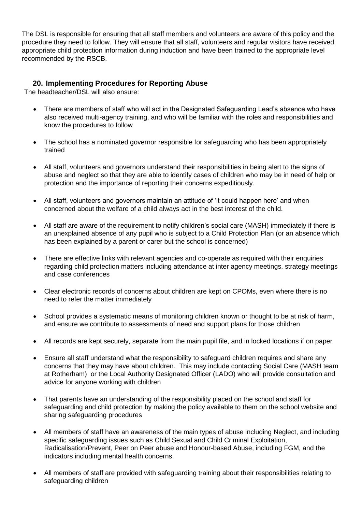The DSL is responsible for ensuring that all staff members and volunteers are aware of this policy and the procedure they need to follow. They will ensure that all staff, volunteers and regular visitors have received appropriate child protection information during induction and have been trained to the appropriate level recommended by the RSCB.

#### **20. Implementing Procedures for Reporting Abuse**

The headteacher/DSL will also ensure:

- There are members of staff who will act in the Designated Safeguarding Lead's absence who have also received multi-agency training, and who will be familiar with the roles and responsibilities and know the procedures to follow
- The school has a nominated governor responsible for safeguarding who has been appropriately trained
- All staff, volunteers and governors understand their responsibilities in being alert to the signs of abuse and neglect so that they are able to identify cases of children who may be in need of help or protection and the importance of reporting their concerns expeditiously.
- All staff, volunteers and governors maintain an attitude of 'it could happen here' and when concerned about the welfare of a child always act in the best interest of the child.
- All staff are aware of the requirement to notify children's social care (MASH) immediately if there is an unexplained absence of any pupil who is subject to a Child Protection Plan (or an absence which has been explained by a parent or carer but the school is concerned)
- There are effective links with relevant agencies and co-operate as required with their enquiries regarding child protection matters including attendance at inter agency meetings, strategy meetings and case conferences
- Clear electronic records of concerns about children are kept on CPOMs, even where there is no need to refer the matter immediately
- School provides a systematic means of monitoring children known or thought to be at risk of harm, and ensure we contribute to assessments of need and support plans for those children
- All records are kept securely, separate from the main pupil file, and in locked locations if on paper
- Ensure all staff understand what the responsibility to safeguard children requires and share any concerns that they may have about children. This may include contacting Social Care (MASH team at Rotherham) or the Local Authority Designated Officer (LADO) who will provide consultation and advice for anyone working with children
- That parents have an understanding of the responsibility placed on the school and staff for safeguarding and child protection by making the policy available to them on the school website and sharing safeguarding procedures
- All members of staff have an awareness of the main types of abuse including Neglect, and including specific safeguarding issues such as Child Sexual and Child Criminal Exploitation, Radicalisation/Prevent, Peer on Peer abuse and Honour-based Abuse, including FGM, and the indicators including mental health concerns.
- All members of staff are provided with safeguarding training about their responsibilities relating to safeguarding children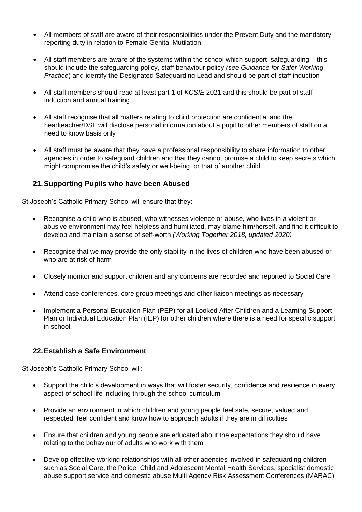- All members of staff are aware of their responsibilities under the Prevent Duty and the mandatory reporting duty in relation to Female Genital Mutilation
- All staff members are aware of the systems within the school which support safeguarding this should include the safeguarding policy, staff behaviour policy *(see Guidance for Safer Working Practice*) and identify the Designated Safeguarding Lead and should be part of staff induction
- All staff members should read at least part 1 of *KCSIE* 2021 and this should be part of staff induction and annual training
- All staff recognise that all matters relating to child protection are confidential and the headteacher/DSL will disclose personal information about a pupil to other members of staff on a need to know basis only
- All staff must be aware that they have a professional responsibility to share information to other agencies in order to safeguard children and that they cannot promise a child to keep secrets which might compromise the child's safety or well-being, or that of another child.

#### **21.Supporting Pupils who have been Abused**

St Joseph's Catholic Primary School will ensure that they:

- Recognise a child who is abused, who witnesses violence or abuse, who lives in a violent or abusive environment may feel helpless and humiliated, may blame him/herself, and find it difficult to develop and maintain a sense of self-worth *(Working Together 2018, updated 2020)*
- Recognise that we may provide the only stability in the lives of children who have been abused or who are at risk of harm
- Closely monitor and support children and any concerns are recorded and reported to Social Care
- Attend case conferences, core group meetings and other liaison meetings as necessary
- Implement a Personal Education Plan (PEP) for all Looked After Children and a Learning Support Plan or Individual Education Plan (IEP) for other children where there is a need for specific support in school.

#### **22.Establish a Safe Environment**

St Joseph's Catholic Primary School will:

- Support the child's development in ways that will foster security, confidence and resilience in every aspect of school life including through the school curriculum
- Provide an environment in which children and young people feel safe, secure, valued and respected, feel confident and know how to approach adults if they are in difficulties
- Ensure that children and young people are educated about the expectations they should have relating to the behaviour of adults who work with them
- Develop effective working relationships with all other agencies involved in safeguarding children such as Social Care, the Police, Child and Adolescent Mental Health Services, specialist domestic abuse support service and domestic abuse Multi Agency Risk Assessment Conferences (MARAC)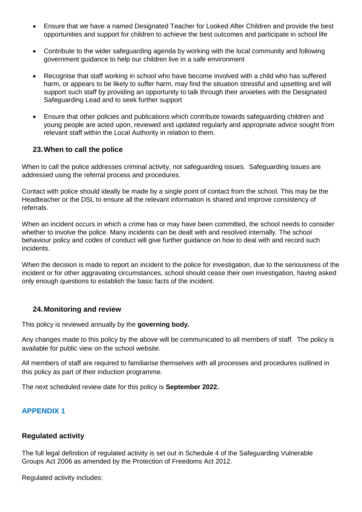- Ensure that we have a named Designated Teacher for Looked After Children and provide the best opportunities and support for children to achieve the best outcomes and participate in school life
- Contribute to the wider safeguarding agenda by working with the local community and following government guidance to help our children live in a safe environment
- Recognise that staff working in school who have become involved with a child who has suffered harm, or appears to be likely to suffer harm, may find the situation stressful and upsetting and will support such staff by providing an opportunity to talk through their anxieties with the Designated Safeguarding Lead and to seek further support
- Ensure that other policies and publications which contribute towards safeguarding children and young people are acted upon, reviewed and updated regularly and appropriate advice sought from relevant staff within the Local Authority in relation to them.

#### **23.When to call the police**

When to call the police addresses criminal activity, not safeguarding issues. Safeguarding issues are addressed using the referral process and procedures.

Contact with police should ideally be made by a single point of contact from the school. This may be the Headteacher or the DSL to ensure all the relevant information is shared and improve consistency of referrals.

When an incident occurs in which a crime has or may have been committed, the school needs to consider whether to involve the police. Many incidents can be dealt with and resolved internally. The school behaviour policy and codes of conduct will give further guidance on how to deal with and record such incidents.

When the decision is made to report an incident to the police for investigation, due to the seriousness of the incident or for other aggravating circumstances, school should cease their own investigation, having asked only enough questions to establish the basic facts of the incident.

#### **24.Monitoring and review**

This policy is reviewed annually by the **governing body.**

Any changes made to this policy by the above will be communicated to all members of staff. The policy is available for public view on the school website.

All members of staff are required to familiarise themselves with all processes and procedures outlined in this policy as part of their induction programme.

The next scheduled review date for this policy is **September 2022.**

#### **APPENDIX 1**

#### **Regulated activity**

The full legal definition of regulated activity is set out in Schedule 4 of the Safeguarding Vulnerable Groups Act 2006 as amended by the Protection of Freedoms Act 2012.

Regulated activity includes: